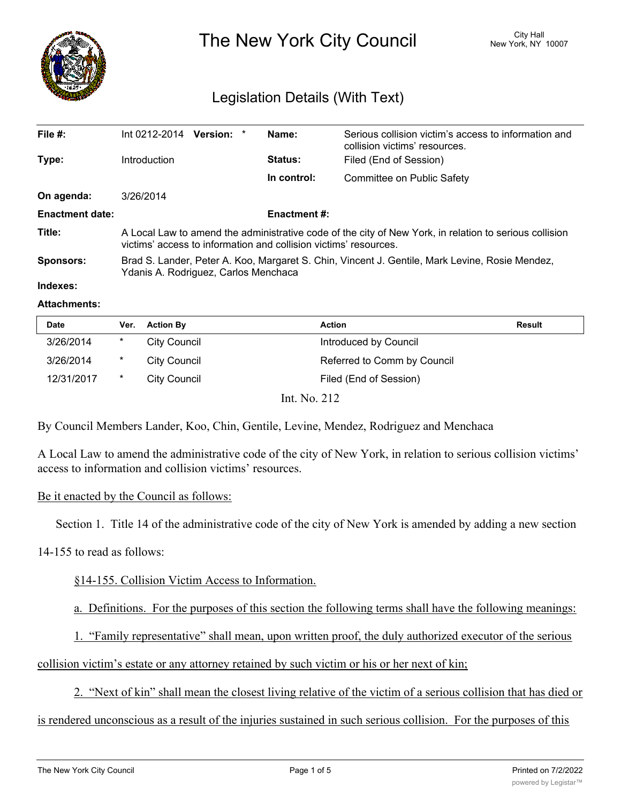

The New York City Council New York, NY 10007

# Legislation Details (With Text)

| File $#$ :             | Int 0212-2014                                                                                                                                                              | Version: * |  | Name:          | Serious collision victim's access to information and<br>collision victims' resources. |  |  |
|------------------------|----------------------------------------------------------------------------------------------------------------------------------------------------------------------------|------------|--|----------------|---------------------------------------------------------------------------------------|--|--|
| Type:                  | Introduction                                                                                                                                                               |            |  | <b>Status:</b> | Filed (End of Session)                                                                |  |  |
|                        |                                                                                                                                                                            |            |  | In control:    | Committee on Public Safety                                                            |  |  |
| On agenda:             | 3/26/2014                                                                                                                                                                  |            |  |                |                                                                                       |  |  |
| <b>Enactment date:</b> | <b>Enactment #:</b>                                                                                                                                                        |            |  |                |                                                                                       |  |  |
| Title:                 | A Local Law to amend the administrative code of the city of New York, in relation to serious collision<br>victims' access to information and collision victims' resources. |            |  |                |                                                                                       |  |  |
| <b>Sponsors:</b>       | Brad S. Lander, Peter A. Koo, Margaret S. Chin, Vincent J. Gentile, Mark Levine, Rosie Mendez,<br>Ydanis A. Rodriguez, Carlos Menchaca                                     |            |  |                |                                                                                       |  |  |
| Indexes:               |                                                                                                                                                                            |            |  |                |                                                                                       |  |  |

#### **Attachments:**

| <b>Date</b> | Ver.   | <b>Action By</b>    | <b>Action</b>               | Result |
|-------------|--------|---------------------|-----------------------------|--------|
| 3/26/2014   | *      | <b>City Council</b> | Introduced by Council       |        |
| 3/26/2014   | $\ast$ | City Council        | Referred to Comm by Council |        |
| 12/31/2017  | $\ast$ | City Council        | Filed (End of Session)      |        |
|             |        | T NT AIA            |                             |        |

Int. No. 212

By Council Members Lander, Koo, Chin, Gentile, Levine, Mendez, Rodriguez and Menchaca

A Local Law to amend the administrative code of the city of New York, in relation to serious collision victims' access to information and collision victims' resources.

## Be it enacted by the Council as follows:

Section 1. Title 14 of the administrative code of the city of New York is amended by adding a new section

14-155 to read as follows:

# §14-155. Collision Victim Access to Information.

a. Definitions. For the purposes of this section the following terms shall have the following meanings:

1. "Family representative" shall mean, upon written proof, the duly authorized executor of the serious

collision victim's estate or any attorney retained by such victim or his or her next of kin;

2. "Next of kin" shall mean the closest living relative of the victim of a serious collision that has died or

is rendered unconscious as a result of the injuries sustained in such serious collision. For the purposes of this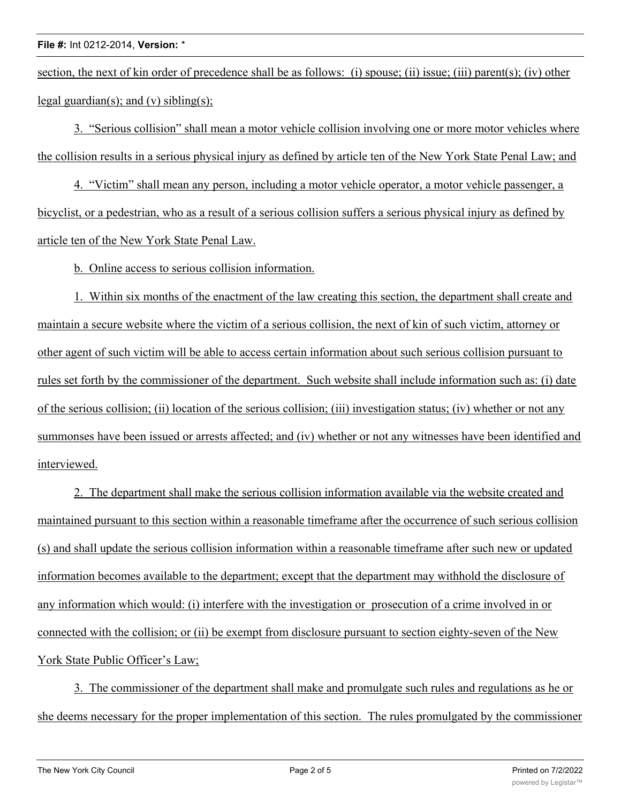#### **File #:** Int 0212-2014, **Version:** \*

section, the next of kin order of precedence shall be as follows: (i) spouse; (ii) issue; (iii) parent(s); (iv) other legal guardian(s); and (v) sibling(s);

3. "Serious collision" shall mean a motor vehicle collision involving one or more motor vehicles where the collision results in a serious physical injury as defined by article ten of the New York State Penal Law; and

4. "Victim" shall mean any person, including a motor vehicle operator, a motor vehicle passenger, a bicyclist, or a pedestrian, who as a result of a serious collision suffers a serious physical injury as defined by article ten of the New York State Penal Law.

b. Online access to serious collision information.

1. Within six months of the enactment of the law creating this section, the department shall create and maintain a secure website where the victim of a serious collision, the next of kin of such victim, attorney or other agent of such victim will be able to access certain information about such serious collision pursuant to rules set forth by the commissioner of the department. Such website shall include information such as: (i) date of the serious collision; (ii) location of the serious collision; (iii) investigation status; (iv) whether or not any summonses have been issued or arrests affected; and (iv) whether or not any witnesses have been identified and interviewed.

2. The department shall make the serious collision information available via the website created and maintained pursuant to this section within a reasonable timeframe after the occurrence of such serious collision (s) and shall update the serious collision information within a reasonable timeframe after such new or updated information becomes available to the department; except that the department may withhold the disclosure of any information which would: (i) interfere with the investigation or prosecution of a crime involved in or connected with the collision; or (ii) be exempt from disclosure pursuant to section eighty-seven of the New York State Public Officer's Law;

3. The commissioner of the department shall make and promulgate such rules and regulations as he or she deems necessary for the proper implementation of this section. The rules promulgated by the commissioner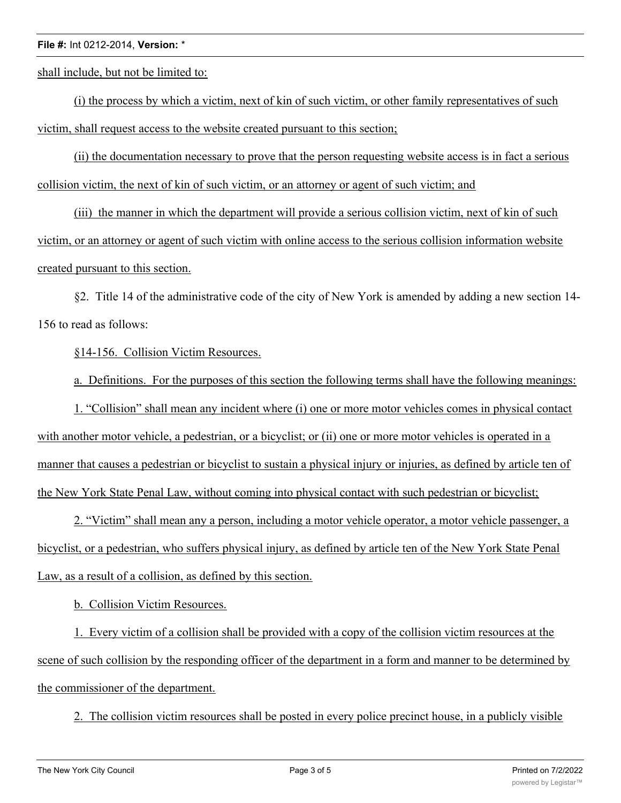## **File #:** Int 0212-2014, **Version:** \*

shall include, but not be limited to:

(i) the process by which a victim, next of kin of such victim, or other family representatives of such victim, shall request access to the website created pursuant to this section;

(ii) the documentation necessary to prove that the person requesting website access is in fact a serious collision victim, the next of kin of such victim, or an attorney or agent of such victim; and

(iii) the manner in which the department will provide a serious collision victim, next of kin of such victim, or an attorney or agent of such victim with online access to the serious collision information website created pursuant to this section.

§2. Title 14 of the administrative code of the city of New York is amended by adding a new section 14- 156 to read as follows:

§14-156. Collision Victim Resources.

a. Definitions. For the purposes of this section the following terms shall have the following meanings:

1. "Collision" shall mean any incident where (i) one or more motor vehicles comes in physical contact with another motor vehicle, a pedestrian, or a bicyclist; or (ii) one or more motor vehicles is operated in a manner that causes a pedestrian or bicyclist to sustain a physical injury or injuries, as defined by article ten of the New York State Penal Law, without coming into physical contact with such pedestrian or bicyclist;

2. "Victim" shall mean any a person, including a motor vehicle operator, a motor vehicle passenger, a bicyclist, or a pedestrian, who suffers physical injury, as defined by article ten of the New York State Penal Law, as a result of a collision, as defined by this section.

b. Collision Victim Resources.

1. Every victim of a collision shall be provided with a copy of the collision victim resources at the scene of such collision by the responding officer of the department in a form and manner to be determined by the commissioner of the department.

2. The collision victim resources shall be posted in every police precinct house, in a publicly visible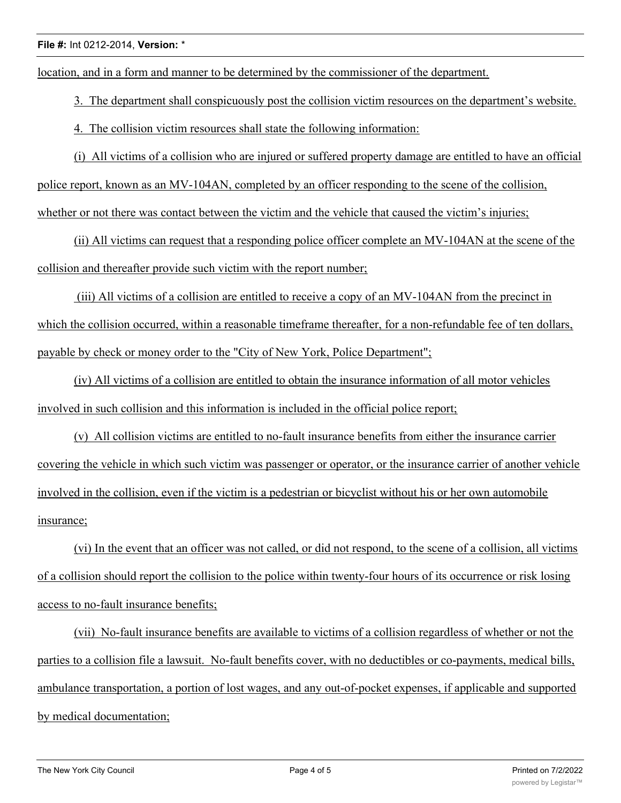location, and in a form and manner to be determined by the commissioner of the department.

3. The department shall conspicuously post the collision victim resources on the department's website.

4. The collision victim resources shall state the following information:

(i) All victims of a collision who are injured or suffered property damage are entitled to have an official police report, known as an MV-104AN, completed by an officer responding to the scene of the collision, whether or not there was contact between the victim and the vehicle that caused the victim's injuries;

(ii) All victims can request that a responding police officer complete an MV-104AN at the scene of the collision and thereafter provide such victim with the report number;

 (iii) All victims of a collision are entitled to receive a copy of an MV-104AN from the precinct in which the collision occurred, within a reasonable timeframe thereafter, for a non-refundable fee of ten dollars, payable by check or money order to the "City of New York, Police Department";

(iv) All victims of a collision are entitled to obtain the insurance information of all motor vehicles involved in such collision and this information is included in the official police report;

(v) All collision victims are entitled to no-fault insurance benefits from either the insurance carrier covering the vehicle in which such victim was passenger or operator, or the insurance carrier of another vehicle involved in the collision, even if the victim is a pedestrian or bicyclist without his or her own automobile insurance;

(vi) In the event that an officer was not called, or did not respond, to the scene of a collision, all victims of a collision should report the collision to the police within twenty-four hours of its occurrence or risk losing access to no-fault insurance benefits;

(vii) No-fault insurance benefits are available to victims of a collision regardless of whether or not the parties to a collision file a lawsuit. No-fault benefits cover, with no deductibles or co-payments, medical bills, ambulance transportation, a portion of lost wages, and any out-of-pocket expenses, if applicable and supported by medical documentation;